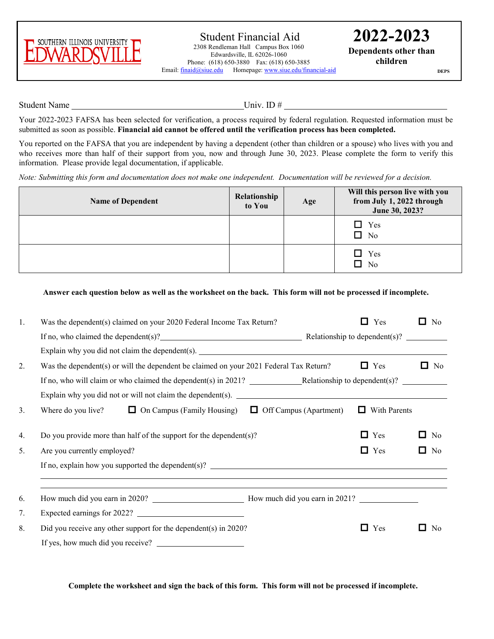

**2022-2023 Dependents other than children**

**DEPS**

Student Name Univ. ID #

Your 2022-2023 FAFSA has been selected for verification, a process required by federal regulation. Requested information must be submitted as soon as possible. **Financial aid cannot be offered until the verification process has been completed.**

You reported on the FAFSA that you are independent by having a dependent (other than children or a spouse) who lives with you and who receives more than half of their support from you, now and through June 30, 2023. Please complete the form to verify this information. Please provide legal documentation, if applicable.

*Note: Submitting this form and documentation does not make one independent. Documentation will be reviewed for a decision.*

| <b>Name of Dependent</b> | Relationship<br>to You | Age | Will this person live with you<br>from July 1, 2022 through<br>June 30, 2023? |
|--------------------------|------------------------|-----|-------------------------------------------------------------------------------|
|                          |                        |     | $\Box$ Yes<br>□<br>N <sub>o</sub>                                             |
|                          |                        |     | $\Box$ Yes<br>No<br>l I                                                       |

**Answer each question below as well as the worksheet on the back. This form will not be processed if incomplete.**

| 1. | Was the dependent(s) claimed on your 2020 Federal Income Tax Return?                         | Yes<br>П          | О<br>No                                       |
|----|----------------------------------------------------------------------------------------------|-------------------|-----------------------------------------------|
|    | If no, who claimed the dependent(s)? $\qquad \qquad$ Relationship to dependent(s)?           |                   |                                               |
|    | Explain why you did not claim the dependent(s).                                              |                   |                                               |
| 2. | Was the dependent(s) or will the dependent be claimed on your 2021 Federal Tax Return?       | $\Box$ Yes        | □<br>No                                       |
|    | If no, who will claim or who claimed the dependent(s) in 2021? Relationship to dependent(s)? |                   |                                               |
|    | Explain why you did not or will not claim the dependent(s).                                  |                   |                                               |
| 3. | Where do you live? $\Box$ On Campus (Family Housing)<br>$\Box$ Off Campus (Apartment)        | With Parents<br>ப |                                               |
| 4. | Do you provide more than half of the support for the dependent(s)?                           | $\Box$<br>Yes     | $\Box$<br>No                                  |
| 5. | Are you currently employed?                                                                  | Yes<br>0          | $\Box$<br>No                                  |
|    |                                                                                              |                   |                                               |
|    |                                                                                              |                   |                                               |
| 6. |                                                                                              |                   |                                               |
| 7. | Expected earnings for 2022?                                                                  |                   |                                               |
| 8. | Did you receive any other support for the dependent(s) in 2020?                              | Yes<br>$\Box$     | $\mathcal{L}_{\mathcal{A}}$<br>N <sub>0</sub> |
|    | If yes, how much did you receive?                                                            |                   |                                               |

**Complete the worksheet and sign the back of this form. This form will not be processed if incomplete.**